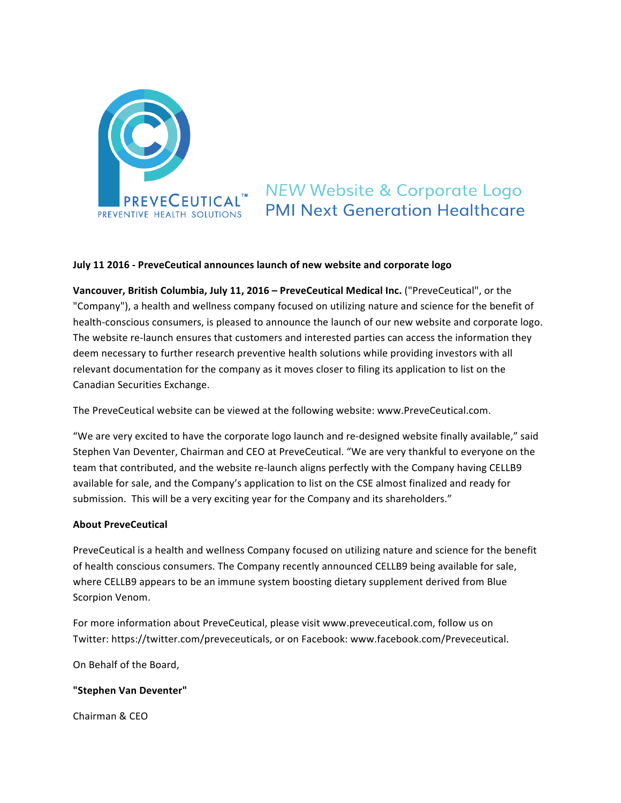

# **NEW Website & Corporate Logo PMI Next Generation Healthcare**

## **July 11 2016 - PreveCeutical announces launch of new website and corporate logo**

**Vancouver, British Columbia, July 11, 2016 – PreveCeutical Medical Inc. ("PreveCeutical", or the** "Company"), a health and wellness company focused on utilizing nature and science for the benefit of health-conscious consumers, is pleased to announce the launch of our new website and corporate logo. The website re-launch ensures that customers and interested parties can access the information they deem necessary to further research preventive health solutions while providing investors with all relevant documentation for the company as it moves closer to filing its application to list on the Canadian Securities Exchange. 

The PreveCeutical website can be viewed at the following website: www.PreveCeutical.com.

"We are very excited to have the corporate logo launch and re-designed website finally available," said Stephen Van Deventer, Chairman and CEO at PreveCeutical. "We are very thankful to everyone on the team that contributed, and the website re-launch aligns perfectly with the Company having CELLB9 available for sale, and the Company's application to list on the CSE almost finalized and ready for submission. This will be a very exciting year for the Company and its shareholders."

### **About PreveCeutical**

PreveCeutical is a health and wellness Company focused on utilizing nature and science for the benefit of health conscious consumers. The Company recently announced CELLB9 being available for sale, where CELLB9 appears to be an immune system boosting dietary supplement derived from Blue Scorpion Venom.

For more information about PreveCeutical, please visit www.preveceutical.com, follow us on Twitter: https://twitter.com/preveceuticals, or on Facebook: www.facebook.com/Preveceutical.

On Behalf of the Board,

### **"Stephen Van Deventer"**

Chairman & CEO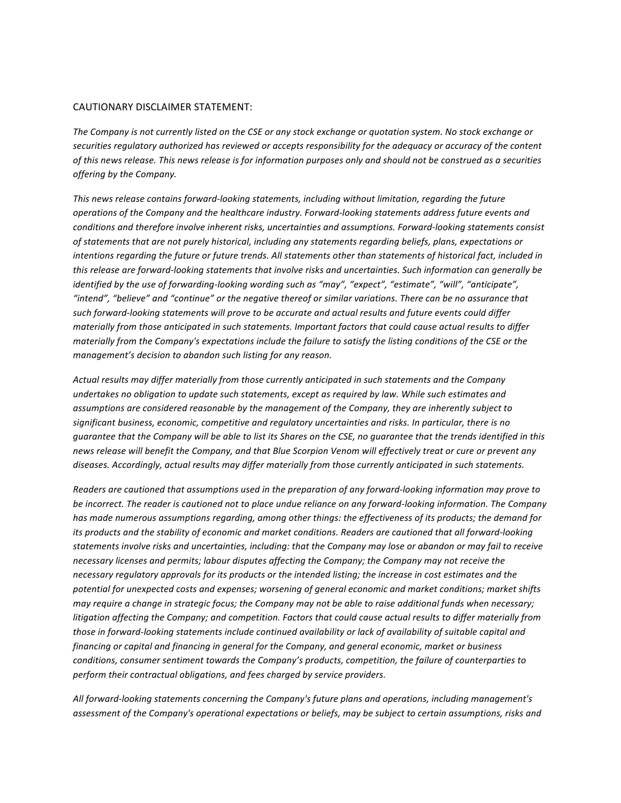#### CAUTIONARY DISCLAIMER STATEMENT:

The Company is not currently listed on the CSE or any stock exchange or quotation system. No stock exchange or securities regulatory authorized has reviewed or accepts responsibility for the adequacy or accuracy of the content of this news release. This news release is for information purposes only and should not be construed as a securities *offering by the Company.*

This news release contains forward-looking statements, including without limitation, regarding the future *operations* of the Company and the healthcare industry. Forward-looking statements address future events and *conditions and therefore involve inherent risks, uncertainties and assumptions. Forward-looking statements consist* of statements that are not purely historical, including any statements regarding beliefs, plans, expectations or intentions regarding the future or future trends. All statements other than statements of historical fact, included in *this release are forward-looking statements that involve risks and uncertainties. Such information can generally be identified by the use of forwarding-looking wording such as "may", "expect", "estimate", "will", "anticipate",* "intend", "believe" and "continue" or the negative thereof or similar variations. There can be no assurance that such forward-looking statements will prove to be accurate and actual results and future events could differ *materially from those anticipated in such statements. Important factors that could cause actual results to differ materially from the Company's expectations include the failure to satisfy the listing conditions of the CSE or the management's decision to abandon such listing for any reason.* 

Actual results may differ materially from those currently anticipated in such statements and the Company undertakes no obligation to update such statements, except as required by law. While such estimates and assumptions are considered reasonable by the management of the Company, they are inherently subject to significant business, economic, competitive and regulatory uncertainties and risks. In particular, there is no *guarantee that the Company will be able to list its Shares on the CSE, no quarantee that the trends identified in this* news release will benefit the Company, and that Blue Scorpion Venom will effectively treat or cure or prevent any diseases. Accordingly, actual results may differ materially from those currently anticipated in such statements.

*Readers are cautioned that assumptions used in the preparation of any forward-looking information may prove to* be incorrect. The reader is cautioned not to place undue reliance on any forward-looking information. The Company has made numerous assumptions regarding, among other things: the effectiveness of its products; the demand for *its* products and the stability of economic and market conditions. Readers are cautioned that all forward-looking statements involve risks and uncertainties, including: that the Company may lose or abandon or may fail to receive necessary licenses and permits; labour disputes affecting the Company; the Company may not receive the necessary regulatory approvals for its products or the intended listing; the increase in cost estimates and the potential for unexpected costs and expenses; worsening of general economic and market conditions; market shifts *may require a change in strategic focus; the Company may not be able to raise additional funds when necessary; litigation* affecting the Company; and competition. Factors that could cause actual results to differ materially from *those in forward-looking statements include continued availability or lack of availability of suitable capital and* financing or capital and financing in general for the Company, and general economic, market or business *conditions, consumer sentiment towards the Company's products, competition, the failure of counterparties to* perform their contractual obligations, and fees charged by service providers.

All forward-looking statements concerning the Company's future plans and operations, including management's assessment of the Company's operational expectations or beliefs, may be subject to certain assumptions, risks and